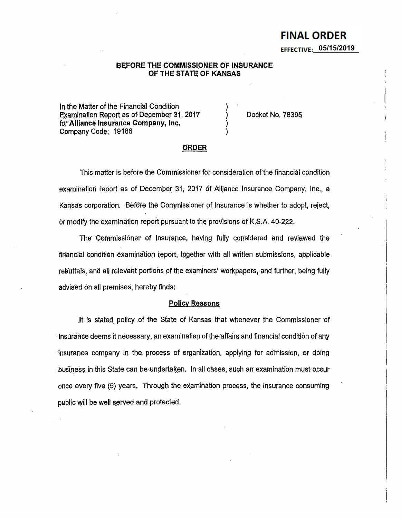# **FINAL ORDER** EFFECTIVE:  $05/15/2019$

## BEFORE THE COMMISSIONER OF INSURANCE OF THE STATE OF KANSAS

In the Matter of the Financial Condition Examination Report as of December 31, 2017 for Alliance Insurance Company, Inc. Company Code: 19186

Docket No. 78395

## **ORDER**

This matter is before the Commissioner for consideration of the financial condition examination report as of December 31, 2017 of Alliance Insurance Company, Inc., a Kansas corporation. Before the Commissioner of Insurance is whether to adopt, reject, or modify the examination report pursuant to the provisions of K.S.A. 40-222.

The Commissioner of Insurance, having fully considered and reviewed the financial condition examination report, together with all written submissions, applicable rebuttals, and all relevant portions of the examiners' workpapers, and further, being fully advised on all premises, hereby finds.

#### **Policy Reasons**

It is stated policy of the State of Kansas that whenever the Commissioner of Insurance deems it necessary, an examination of the affairs and financial condition of any insurance company in the process of organization, applying for admission, or doing business in this State can be undertaken. In all cases, such an examination must occur once every five (5) years. Through the examination process, the insurance consuming public will be well served and protected.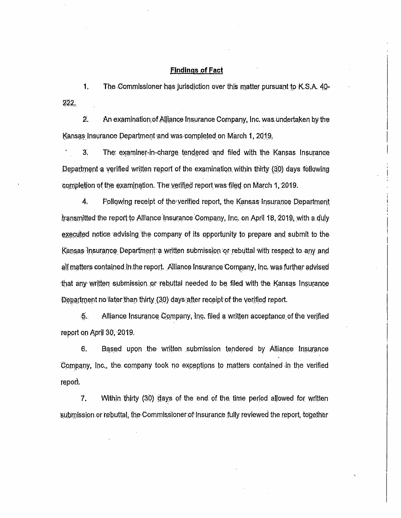## **Findings of Fact**

 $1.$ The Commissioner has jurisdiction over this matter pursuant to K.S.A. 40- $222.$ 

 $\overline{2}$ . An examination of Alliance Insurance Company, Inc. was undertaken by the Kansas Insurance Department and was completed on March 1, 2019.

 $3<sub>1</sub>$ The examiner-in-charge tendered and filed with the Kansas Insurance Department a verified written report of the examination within thirty (30) days following completion of the examination. The verified report was filed on March 1, 2019.

 $\mathbf{A}_{\cdot}$ Following receipt of the verified report, the Kansas Insurance Department transmitted the report to Alliance Insurance Company, Inc. on April 18, 2019, with a duly executed notice advising the company of its opportunity to prepare and submit to the Kansas Insurance Department a written submission or rebuttal with respect to any and all matters contained in the report. Alliance Insurance Company, Inc. was further advised that any written submission or rebuttal needed to be filed with the Kansas Insurance Department no later than thirty (30) days after receipt of the verified report.

Alliance Insurance Company, Inc. filed a written acceptance of the verified  $.5.$ report on April 30, 2019.

6. Based upon the written submission tendered by Alliance Insurance Company, Inc., the company took no exceptions to matters contained in the verified report.

7. Within thirty (30) days of the end of the time period allowed for written submission or rebuttal, the Commissioner of Insurance fully reviewed the report, together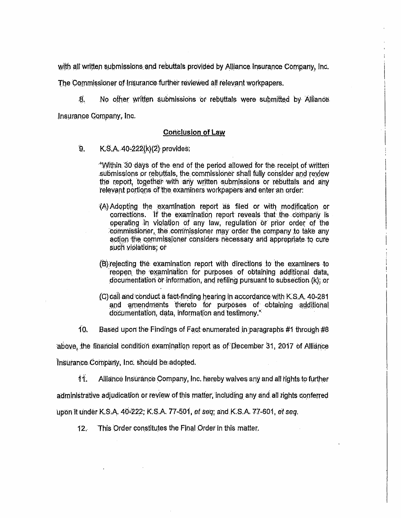with all written submissions and rebuttals provided by Alliance Insurance Company, Inc.

The Commissioner of Insurance further reviewed all relevant workpapers.

8. No other written submissions or rebuttals were submitted by Alliance

Insurance Company, Inc.

## **Conclusion of Law**

9. K.S.A. 40-222(k)(2) provides:

> "Within 30 days of the end of the period allowed for the receipt of written submissions or rebuttals, the commissioner shall fully consider and review the report, together with any written submissions or rebuttals and any relevant portions of the examiners workpapers and enter an order:

- (A) Adopting the examination report as filed or with modification or corrections. If the examination report reveals that the company is operating in violation of any law, regulation or prior order of the commissioner, the commissioner may order the company to take any action the commissioner considers necessary and appropriate to cure such violations; or
- (B) rejecting the examination report with directions to the examiners to reopen the examination for purposes of obtaining additional data, documentation or information, and refiling pursuant to subsection (k); or
- (C) call and conduct a fact-finding hearing in accordance with K.S.A. 40-281 and amendments thereto for purposes of obtaining additional documentation, data, information and testimony."
- 10. Based upon the Findings of Fact enumerated in paragraphs #1 through #8

above, the financial condition examination report as of December 31, 2017 of Alliance

Insurance Company, Inc. should be adopted.

11. Alliance Insurance Company, Inc. hereby waives any and all rights to further

administrative adjudication or review of this matter, including any and all rights conferred

upon it under K.S.A. 40-222; K.S.A. 77-501, et seq; and K.S.A. 77-601, et seq.

This Order constitutes the Final Order in this matter.  $12<sub>1</sub>$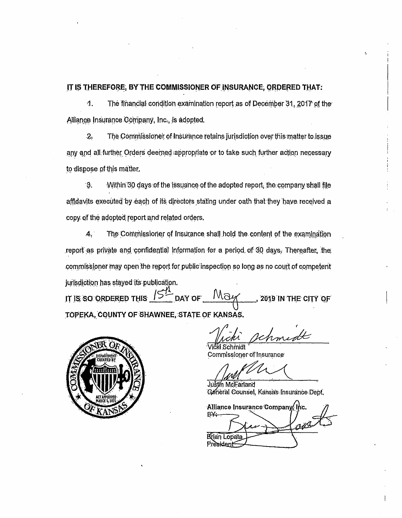IT IS THEREFORE, BY THE COMMISSIONER OF INSURANCE, ORDERED THAT:

4. The financial condition examination report as of December 31, 2017 of the Alliance Insurance Company, Inc., is adopted.

The Commissioner of Insurance retains jurisdiction over this matter to issue  $2.$ any and all further Orders deemed appropriate or to take such further action necessary to dispose of this matter.

З. Within 30 days of the issuance of the adopted report, the company shall file affidavits executed by each of its directors stating under oath that they have received a copy of the adopted report and related orders.

 $A_{y}$ The Commissioner of Insurance shall hold the content of the examination report as private and confidential information for a period of 30 days. Thereafter, the commissioner may open the report for public inspection so long as no court of competent jurisdiction has stayed its publication.

May IT IS SO ORDERED THIS  $15$  DAY OF 2019 IN THE CITY OF TOPEKA, COUNTY OF SHAWNEE, STATE OF KANSAS.



Schmidt Commissioner of Insurance

Justin McFarland Géneral Counsel, Kansas Insurance Dept,

Alliance Insurance Company, Inc. B¥⊹ **Brian Lopata** President